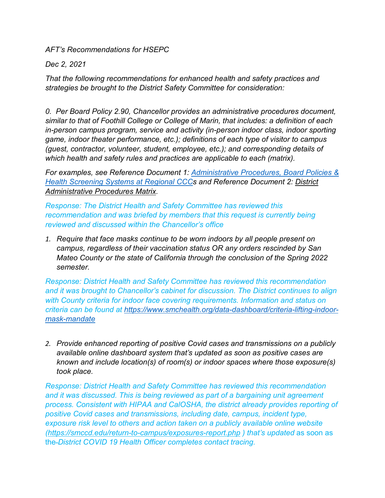*AFT's Recommendations for HSEPC*

*Dec 2, 2021*

*That the following recommendations for enhanced health and safety practices and strategies be brought to the District Safety Committee for consideration:* 

*0. Per Board Policy 2.90, Chancellor provides an administrative procedures document, similar to that of Foothill College or College of Marin, that includes: a definition of each in-person campus program, service and activity (in-person indoor class, indoor sporting game, indoor theater performance, etc.); definitions of each type of visitor to campus (guest, contractor, volunteer, student, employee, etc.); and corresponding details of which health and safety rules and practices are applicable to each (matrix).* 

*For examples, see Reference Document 1: [Administrative Procedures, Board Policies &](https://docs.google.com/document/d/1iIEyQs-oiK5vnHxzzW0GpzBIrpH6jndt/edit)  [Health Screening Systems at Regional CCCs](https://docs.google.com/document/d/1iIEyQs-oiK5vnHxzzW0GpzBIrpH6jndt/edit) and Reference Document 2: [District](https://docs.google.com/document/d/1JpGmOiqoUzAkvOqfjpICGnYvwwbK7gUh/edit)  [Administrative Procedures Matrix.](https://docs.google.com/document/d/1JpGmOiqoUzAkvOqfjpICGnYvwwbK7gUh/edit)*

*Response: The District Health and Safety Committee has reviewed this recommendation and was briefed by members that this request is currently being reviewed and discussed within the Chancellor's office*

*1. Require that face masks continue to be worn indoors by all people present on campus, regardless of their vaccination status OR any orders rescinded by San Mateo County or the state of California through the conclusion of the Spring 2022 semester.* 

*Response: District Health and Safety Committee has reviewed this recommendation and it was brought to Chancellor's cabinet for discussion. The District continues to align with County criteria for indoor face covering requirements. Information and status on criteria can be found at [https://www.smchealth.org/data-dashboard/criteria-lifting-indoor](https://www.smchealth.org/data-dashboard/criteria-lifting-indoor-mask-mandate)[mask-mandate](https://www.smchealth.org/data-dashboard/criteria-lifting-indoor-mask-mandate)*

*2. Provide enhanced reporting of positive Covid cases and transmissions on a publicly available online dashboard system that's updated as soon as positive cases are known and include location(s) of room(s) or indoor spaces where those exposure(s) took place.*

*Response: District Health and Safety Committee has reviewed this recommendation and it was discussed. This is being reviewed as part of a bargaining unit agreement process. Consistent with HIPAA and CalOSHA, the district already provides reporting of positive Covid cases and transmissions, including date, campus, incident type, exposure risk level to others and action taken on a publicly available online website [\(https://smccd.edu/return-to-campus/exposures-report.php](https://smccd.edu/return-to-campus/exposures-report.php) ) that's updated* as soon as the *District COVID 19 Health Officer completes contact tracing.*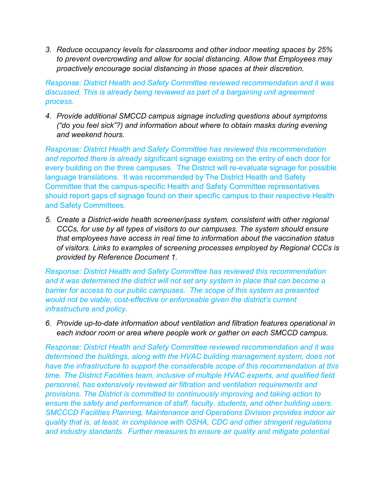*3. Reduce occupancy levels for classrooms and other indoor meeting spaces by 25% to prevent overcrowding and allow for social distancing. Allow that Employees may proactively encourage social distancing in those spaces at their discretion.*

*Response: District Health and Safety Committee reviewed recommendation and it was discussed. This is already being reviewed as part of a bargaining unit agreement process.*

*4. Provide additional SMCCD campus signage including questions about symptoms ("do you feel sick"?) and information about where to obtain masks during evening and weekend hours.*

*Response: District Health and Safety Committee has reviewed this recommendation and reported there is already si*gnificant signage existing on the entry of each door for every building on the three campuses. The District will re-evaluate signage for possible language translations. It was recommended by The District Health and Safety Committee that the campus-specific Health and Safety Committee representatives should report gaps of signage found on their specific campus to their respective Health and Safety Committees.

*5. Create a District-wide health screener/pass system, consistent with other regional CCCs, for use by all types of visitors to our campuses. The system should ensure that employees have access in real time to information about the vaccination status of visitors. Links to examples of screening processes employed by Regional CCCs is provided by Reference Document 1.*

*Response: District Health and Safety Committee has reviewed this recommendation and it was determined the district will not set any system in place that can become a barrier for access to our public campuses. The scope of this system as presented would not be viable, cost-effective or enforceable given the district's current infrastructure and policy.*

*6. Provide up-to-date information about ventilation and filtration features operational in each indoor room or area where people work or gather on each SMCCD campus.*

*Response: District Health and Safety Committee reviewed recommendation and it was determined the buildings, along with the HVAC building management system, does not have the infrastructure to support the considerable scope of this recommendation at this time. The District Facilities team, inclusive of multiple HVAC experts, and qualified field personnel, has extensively reviewed air filtration and ventilation requirements and provisions. The District is committed to continuously improving and taking action to ensure the safety and performance of staff, faculty, students, and other building users. SMCCCD Facilities Planning, Maintenance and Operations Division provides indoor air quality that is, at least, in compliance with OSHA, CDC and other stringent regulations and industry standards. Further measures to ensure air quality and mitigate potential*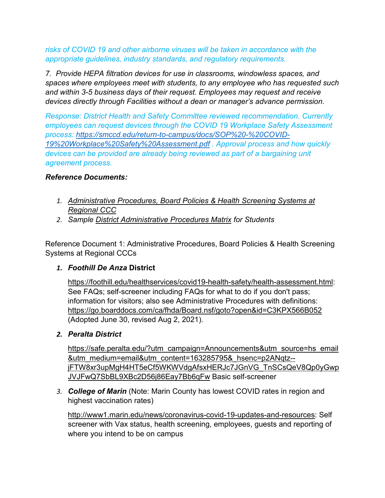#### *risks of COVID 19 and other airborne viruses will be taken in accordance with the appropriate guidelines, industry standards, and regulatory requirements.*

*7. Provide HEPA filtration devices for use in classrooms, windowless spaces, and spaces where employees meet with students, to any employee who has requested such and within 3-5 business days of their request. Employees may request and receive devices directly through Facilities without a dean or manager's advance permission.*

*Response: District Health and Safety Committee reviewed recommendation. Currently employees can request devices through the COVID 19 Workplace Safety Assessment process: [https://smccd.edu/return-to-campus/docs/SOP%20-%20COVID-](https://smccd.edu/return-to-campus/docs/SOP%20-%20COVID-19%20Workplace%20Safety%20Assessment.pdf)[19%20Workplace%20Safety%20Assessment.pdf](https://smccd.edu/return-to-campus/docs/SOP%20-%20COVID-19%20Workplace%20Safety%20Assessment.pdf) . Approval process and how quickly devices can be provided are already being reviewed as part of a bargaining unit agreement process.*

### *Reference Documents:*

- *1. [Administrative Procedures, Board Policies & Health Screening Systems at](https://docs.google.com/document/d/1iIEyQs-oiK5vnHxzzW0GpzBIrpH6jndt/edit)  [Regional CCC](https://docs.google.com/document/d/1iIEyQs-oiK5vnHxzzW0GpzBIrpH6jndt/edit)*
- *2. Sample [District Administrative Procedures Matrix](https://docs.google.com/document/d/1JpGmOiqoUzAkvOqfjpICGnYvwwbK7gUh/edit) for Students*

Reference Document 1: Administrative Procedures, Board Policies & Health Screening Systems at Regional CCCs

### *1. Foothill De Anza* **District**

[https://foothill.edu/healthservices/covid19-health-safety/health-assessment.html:](https://foothill.edu/healthservices/covid19-health-safety/health-assessment.html) See FAQs; self-screener including FAQs for what to do if you don't pass; information for visitors; also see Administrative Procedures with definitions: <https://go.boarddocs.com/ca/fhda/Board.nsf/goto?open&id=C3KPX566B052> (Adopted June 30, revised Aug 2, 2021).

*2. Peralta District* 

[https://safe.peralta.edu/?utm\\_campaign=Announcements&utm\\_source=hs\\_email](https://safe.peralta.edu/?utm_campaign=Announcements&utm_source=hs_email&utm_medium=email&utm_content=163285795&_hsenc=p2ANqtz--jFTW8xr3upMgH4HT5eCf5WKWVdgAfsxHERJc7JGnVG_TnSCsQeV8Qp0yGwpJVJFwQ7SbBL9XBc2D56j86Eay7Bb6qFw) [&utm\\_medium=email&utm\\_content=163285795&\\_hsenc=p2ANqtz-](https://safe.peralta.edu/?utm_campaign=Announcements&utm_source=hs_email&utm_medium=email&utm_content=163285795&_hsenc=p2ANqtz--jFTW8xr3upMgH4HT5eCf5WKWVdgAfsxHERJc7JGnVG_TnSCsQeV8Qp0yGwpJVJFwQ7SbBL9XBc2D56j86Eay7Bb6qFw) [jFTW8xr3upMgH4HT5eCf5WKWVdgAfsxHERJc7JGnVG\\_TnSCsQeV8Qp0yGwp](https://safe.peralta.edu/?utm_campaign=Announcements&utm_source=hs_email&utm_medium=email&utm_content=163285795&_hsenc=p2ANqtz--jFTW8xr3upMgH4HT5eCf5WKWVdgAfsxHERJc7JGnVG_TnSCsQeV8Qp0yGwpJVJFwQ7SbBL9XBc2D56j86Eay7Bb6qFw) [JVJFwQ7SbBL9XBc2D56j86Eay7Bb6qFw](https://safe.peralta.edu/?utm_campaign=Announcements&utm_source=hs_email&utm_medium=email&utm_content=163285795&_hsenc=p2ANqtz--jFTW8xr3upMgH4HT5eCf5WKWVdgAfsxHERJc7JGnVG_TnSCsQeV8Qp0yGwpJVJFwQ7SbBL9XBc2D56j86Eay7Bb6qFw) Basic self-screener

*3. College of Marin* (Note: Marin County has lowest COVID rates in region and highest vaccination rates)

[http://www1.marin.edu/news/coronavirus-covid-19-updates-and-resources:](http://www1.marin.edu/news/coronavirus-covid-19-updates-and-resources) Self screener with Vax status, health screening, employees, guests and reporting of where you intend to be on campus